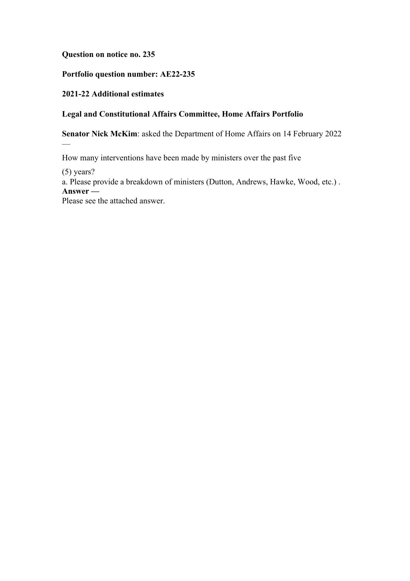### **Question on notice no. 235**

### **Portfolio question number: AE22-235**

### **2021-22 Additional estimates**

# **Legal and Constitutional Affairs Committee, Home Affairs Portfolio**

**Senator Nick McKim**: asked the Department of Home Affairs on 14 February 2022

How many interventions have been made by ministers over the past five

(5) years?

—

a. Please provide a breakdown of ministers (Dutton, Andrews, Hawke, Wood, etc.) . **Answer —**

Please see the attached answer.